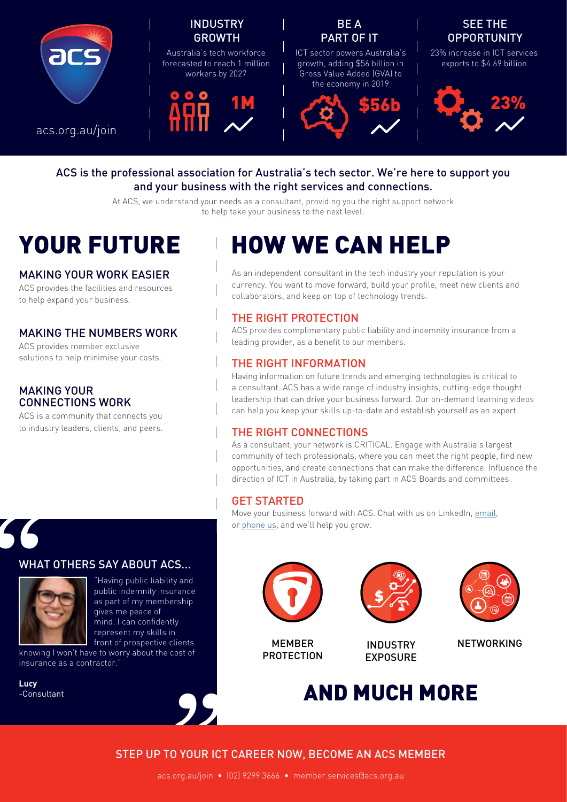

#### ACS is the professional association for Australia's tech sector. We're here to support you and your business with the right services and connections.

At ACS, we understand your needs as a consultant, providing you the right support network to help take your business to the next level.

#### MAKING YOUR WORK EASIER

ACS provides the facilities and resources to help expand your business.

#### MAKING THE NUMBERS WORK

ACS provides member exclusive solutions to help minimise your costs.

#### MAKING YOUR CONNECTIONS WORK

ACS is a community that connects you to industry leaders, clients, and peers.

## YOUR FUTURE HOW WE CAN HELP

As an independent consultant in the tech industry your reputation is your currency. You want to move forward, build your profile, meet new clients and collaborators, and keep on top of technology trends.

### THE RIGHT PROTECTION

ACS provides complimentary public liability and indemnity insurance from a leading provider, as a benefit to our members.

#### THE RIGHT INFORMATION

Having information on future trends and emerging technologies is critical to a consultant. ACS has a wide range of industry insights, cutting-edge thought leadership that can drive your business forward. Our on-demand learning videos can help you keep your skills up-to-date and establish yourself as an expert.

#### THE RIGHT CONNECTIONS

As a consultant, your network is CRITICAL. Engage with Australia's largest community of tech professionals, where you can meet the right people, find new opportunities, and create connections that can make the difference. Influence the direction of ICT in Australia, by taking part in ACS Boards and committees.

#### GET STARTED

Move your business forward with ACS. Chat with us on LinkedIn, [email,](mailto:mailto:member.services%40acs.org.au?subject=) or [phone us](https://www.acs.org.au/contact-us.html), and we'll help you grow.

# "





ients<br>ost of<br>**Surface** "Having public liability and public indemnity insurance as part of my membership gives me peace of mind. I can confidently represent my skills in front of prospective clients

knowing I won't have to worry about the cost of insurance as a contractor."

**Lucy** -Consultant



MEMBER PROTECTION



INDUSTRY EXPOSURE



NETWORKING

## AND MUCH MORE

#### STEP UP TO YOUR ICT CAREER NOW, BECOME AN ACS MEMBER